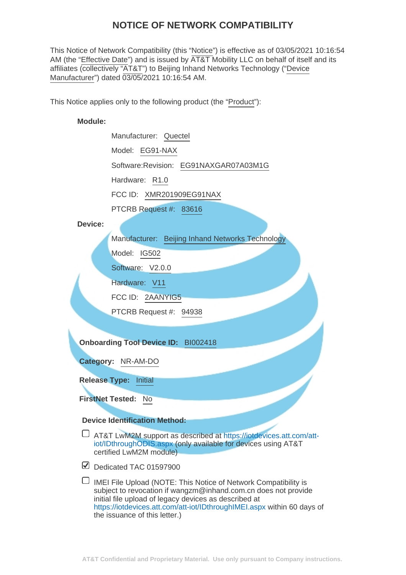# **NOTICE OF NETWORK COMPATIBILITY**

This Notice of Network Compatibility (this "Notice") is effective as of 03/05/2021 10:16:54 AM (the "Effective Date") and is issued by  $\overline{AT&T}$  Mobility LLC on behalf of itself and its affiliates (collectively "AT&T") to Beijing Inhand Networks Technology ("Device Manufacturer") dated 03/05/2021 10:16:54 AM.

This Notice applies only to the following product (the "Product"):

#### **Module:**

Manufacturer: Quectel Model: EG91-NAX Software:Revision: EG91NAXGAR07A03M1G Hardware: R1.0 FCC ID: XMR201909EG91NAX

PTCRB Request #: 83616

#### **Device:**

Manufacturer: Beijing Inhand Networks Technology

Model: IG502

Software: V2.0.0

Hardware: V11

FCC ID: 2AANYIG5

PTCRB Request #: 94938

**Onboarding Tool Device ID:** BI002418

**Category:** NR-AM-DO

**Release Type:** Initial

**FirstNet Tested:** No

#### **Device Identification Method:**

AT&T LwM2M support as described at [https://iotdevices.att.com/att](https://iotdevices.att.com/att-iot/IDthroughODIS.aspx)[iot/IDthroughODIS.aspx](https://iotdevices.att.com/att-iot/IDthroughODIS.aspx) (only available for devices using AT&T certified LwM2M module)

Dedicated TAC 01597900

 $\Box$  IMEI File Upload (NOTE: This Notice of Network Compatibility is subject to revocation if wangzm@inhand.com.cn does not provide initial file upload of legacy devices as described at <https://iotdevices.att.com/att-iot/IDthroughIMEI.aspx> within 60 days of the issuance of this letter.)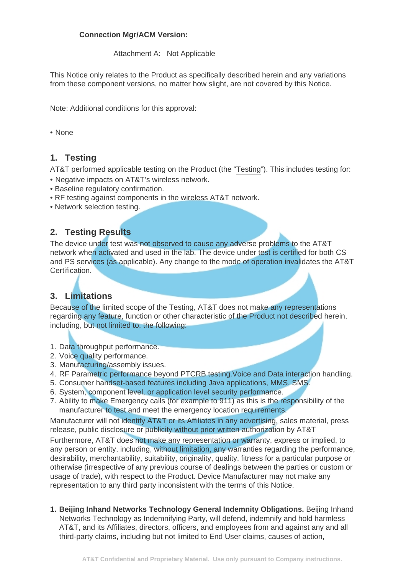### **Connection Mgr/ACM Version:**

Attachment A: Not Applicable

This Notice only relates to the Product as specifically described herein and any variations from these component versions, no matter how slight, are not covered by this Notice.

Note: Additional conditions for this approval:

#### • None

### **1. Testing**

AT&T performed applicable testing on the Product (the "Testing"). This includes testing for:

- Negative impacts on AT&T's wireless network.
- Baseline regulatory confirmation.
- RF testing against components in the wireless AT&T network.
- Network selection testing.

## **2. Testing Results**

The device under test was not observed to cause any adverse problems to the AT&T network when activated and used in the lab. The device under test is certified for both CS and PS services (as applicable). Any change to the mode of operation invalidates the AT&T Certification.

# **3. Limitations**

Because of the limited scope of the Testing, AT&T does not make any representations regarding any feature, function or other characteristic of the Product not described herein, including, but not limited to, the following:

- 1. Data throughput performance.
- 2. Voice quality performance.
- 3. Manufacturing/assembly issues.
- 4. RF Parametric performance beyond PTCRB testing.Voice and Data interaction handling.
- 5. Consumer handset-based features including Java applications, MMS, SMS.
- 6. System, component level, or application level security performance.
- 7. Ability to make Emergency calls (for example to 911) as this is the responsibility of the manufacturer to test and meet the emergency location requirements.

Manufacturer will not identify AT&T or its Affiliates in any advertising, sales material, press release, public disclosure or publicity without prior written authorization by AT&T

Furthermore, AT&T does not make any representation or warranty, express or implied, to any person or entity, including, without limitation, any warranties regarding the performance, desirability, merchantability, suitability, originality, quality, fitness for a particular purpose or otherwise (irrespective of any previous course of dealings between the parties or custom or usage of trade), with respect to the Product. Device Manufacturer may not make any representation to any third party inconsistent with the terms of this Notice.

**Beijing Inhand Networks Technology General Indemnity Obligations.** Beijing Inhand **1.** Networks Technology as Indemnifying Party, will defend, indemnify and hold harmless AT&T, and its Affiliates, directors, officers, and employees from and against any and all third-party claims, including but not limited to End User claims, causes of action,